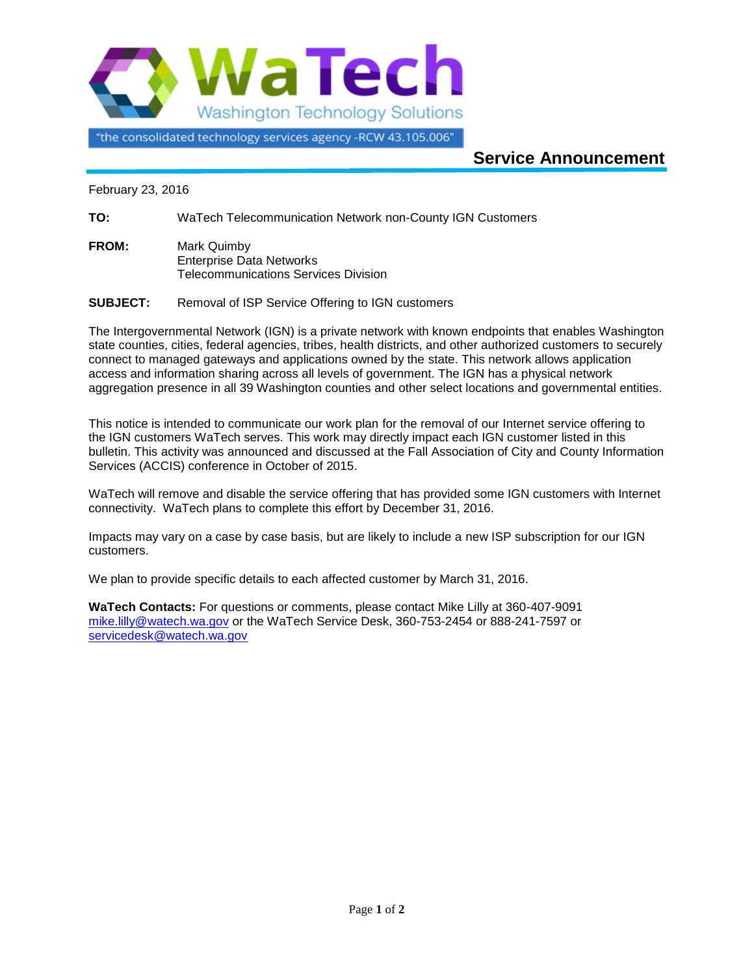

"the consolidated technology services agency -RCW 43.105.006"

## **Service Announcement**

February 23, 2016

**TO:** WaTech Telecommunication Network non-County IGN Customers

**FROM:** Mark Quimby Enterprise Data Networks Telecommunications Services Division

**SUBJECT:** Removal of ISP Service Offering to IGN customers

The Intergovernmental Network (IGN) is a private network with known endpoints that enables Washington state counties, cities, federal agencies, tribes, health districts, and other authorized customers to securely connect to managed gateways and applications owned by the state. This network allows application access and information sharing across all levels of government. The IGN has a physical network aggregation presence in all 39 Washington counties and other select locations and governmental entities.

This notice is intended to communicate our work plan for the removal of our Internet service offering to the IGN customers WaTech serves. This work may directly impact each IGN customer listed in this bulletin. This activity was announced and discussed at the Fall Association of City and County Information Services (ACCIS) conference in October of 2015.

WaTech will remove and disable the service offering that has provided some IGN customers with Internet connectivity. WaTech plans to complete this effort by December 31, 2016.

Impacts may vary on a case by case basis, but are likely to include a new ISP subscription for our IGN customers.

We plan to provide specific details to each affected customer by March 31, 2016.

**WaTech Contacts:** For questions or comments, please contact Mike Lilly at 360-407-9091 [mike.lilly@watech.wa.gov](mailto:mike.lilly@watech.wa.gov) or the WaTech Service Desk, 360-753-2454 or 888-241-7597 or [servicedesk@watech.wa.gov](mailto:servicedesk@watech.wa.gov)